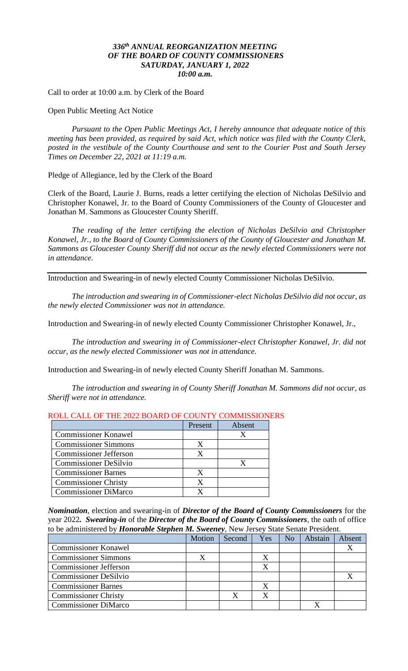## *336 th ANNUAL REORGANIZATION MEETING OF THE BOARD OF COUNTY COMMISSIONERS SATURDAY, JANUARY 1, 2022 10:00 a.m.*

Call to order at 10:00 a.m. by Clerk of the Board

Open Public Meeting Act Notice

*Pursuant to the Open Public Meetings Act, I hereby announce that adequate notice of this meeting has been provided, as required by said Act, which notice was filed with the County Clerk, posted in the vestibule of the County Courthouse and sent to the Courier Post and South Jersey Times on December 22, 2021 at 11:19 a.m.*

Pledge of Allegiance, led by the Clerk of the Board

Clerk of the Board, Laurie J. Burns, reads a letter certifying the election of Nicholas DeSilvio and Christopher Konawel, Jr. to the Board of County Commissioners of the County of Gloucester and Jonathan M. Sammons as Gloucester County Sheriff.

*The reading of the letter certifying the election of Nicholas DeSilvio and Christopher Konawel, Jr., to the Board of County Commissioners of the County of Gloucester and Jonathan M. Sammons as Gloucester County Sheriff did not occur as the newly elected Commissioners were not in attendance.*

Introduction and Swearing-in of newly elected County Commissioner Nicholas DeSilvio.

*The introduction and swearing in of Commissioner-elect Nicholas DeSilvio did not occur, as the newly elected Commissioner was not in attendance.*

Introduction and Swearing-in of newly elected County Commissioner Christopher Konawel, Jr.,

*The introduction and swearing in of Commissioner-elect Christopher Konawel, Jr. did not occur, as the newly elected Commissioner was not in attendance.*

Introduction and Swearing-in of newly elected County Sheriff Jonathan M. Sammons.

*The introduction and swearing in of County Sheriff Jonathan M. Sammons did not occur, as Sheriff were not in attendance.*

|                               | Present | Absent |
|-------------------------------|---------|--------|
| <b>Commissioner Konawel</b>   |         |        |
| <b>Commissioner Simmons</b>   |         |        |
| <b>Commissioner Jefferson</b> |         |        |
| <b>Commissioner DeSilvio</b>  |         |        |
| <b>Commissioner Barnes</b>    |         |        |
| <b>Commissioner Christy</b>   |         |        |
| <b>Commissioner DiMarco</b>   |         |        |

#### ROLL CALL OF THE 2022 BOARD OF COUNTY COMMISSIONERS

*Nomination*, election and swearing-in of *Director of the Board of County Commissioners* for the year 2022*. Swearing-in* of the *Director of the Board of County Commissioners*, the oath of office to be administered by *Honorable Stephen M. Sweeney*, New Jersey State Senate President.

|                               | Motion | Second | Yes | N <sub>o</sub> | Abstain | Absent |
|-------------------------------|--------|--------|-----|----------------|---------|--------|
| <b>Commissioner Konawel</b>   |        |        |     |                |         |        |
| <b>Commissioner Simmons</b>   |        |        |     |                |         |        |
| <b>Commissioner Jefferson</b> |        |        |     |                |         |        |
| <b>Commissioner DeSilvio</b>  |        |        |     |                |         |        |
| <b>Commissioner Barnes</b>    |        |        |     |                |         |        |
| <b>Commissioner Christy</b>   |        |        |     |                |         |        |
| <b>Commissioner DiMarco</b>   |        |        |     |                |         |        |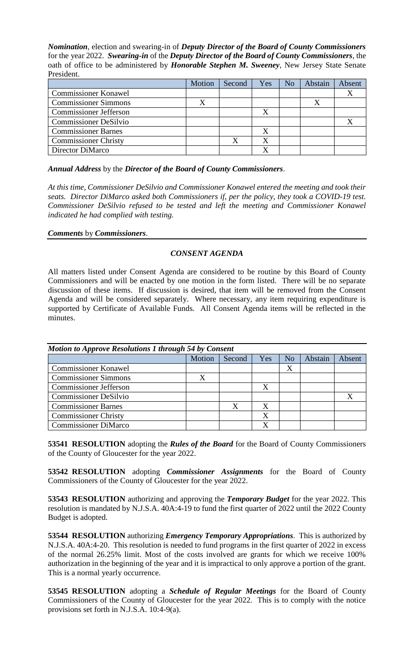*Nomination*, election and swearing-in of *Deputy Director of the Board of County Commissioners* for the year 2022. *Swearing-in* of the *Deputy Director of the Board of County Commissioners*, the oath of office to be administered by *Honorable Stephen M. Sweeney*, New Jersey State Senate President.

|                               | Motion | Second | Yes | No | Abstain | Absent |
|-------------------------------|--------|--------|-----|----|---------|--------|
| <b>Commissioner Konawel</b>   |        |        |     |    |         |        |
| <b>Commissioner Simmons</b>   |        |        |     |    |         |        |
| <b>Commissioner Jefferson</b> |        |        |     |    |         |        |
| <b>Commissioner DeSilvio</b>  |        |        |     |    |         |        |
| <b>Commissioner Barnes</b>    |        |        |     |    |         |        |
| <b>Commissioner Christy</b>   |        |        |     |    |         |        |
| Director DiMarco              |        |        |     |    |         |        |

*Annual Address* by the *Director of the Board of County Commissioners*.

*At this time, Commissioner DeSilvio and Commissioner Konawel entered the meeting and took their seats. Director DiMarco asked both Commissioners if, per the policy, they took a COVID-19 test. Commissioner DeSilvio refused to be tested and left the meeting and Commissioner Konawel indicated he had complied with testing.*

*Comments* by *Commissioners*.

# *CONSENT AGENDA*

All matters listed under Consent Agenda are considered to be routine by this Board of County Commissioners and will be enacted by one motion in the form listed. There will be no separate discussion of these items. If discussion is desired, that item will be removed from the Consent Agenda and will be considered separately. Where necessary, any item requiring expenditure is supported by Certificate of Available Funds. All Consent Agenda items will be reflected in the minutes.

| <b>Motion to Approve Resolutions 1 through 54 by Consent</b> |        |        |     |    |         |        |  |
|--------------------------------------------------------------|--------|--------|-----|----|---------|--------|--|
|                                                              | Motion | Second | Yes | No | Abstain | Absent |  |
| <b>Commissioner Konawel</b>                                  |        |        |     | X  |         |        |  |
| <b>Commissioner Simmons</b>                                  | X      |        |     |    |         |        |  |
| <b>Commissioner Jefferson</b>                                |        |        | X   |    |         |        |  |
| <b>Commissioner DeSilvio</b>                                 |        |        |     |    |         |        |  |
| <b>Commissioner Barnes</b>                                   |        | X      |     |    |         |        |  |
| <b>Commissioner Christy</b>                                  |        |        | X   |    |         |        |  |
| <b>Commissioner DiMarco</b>                                  |        |        |     |    |         |        |  |

**53541 RESOLUTION** adopting the *Rules of the Board* for the Board of County Commissioners of the County of Gloucester for the year 2022.

**53542 RESOLUTION** adopting *Commissioner Assignments* for the Board of County Commissioners of the County of Gloucester for the year 2022.

**53543 RESOLUTION** authorizing and approving the *Temporary Budget* for the year 2022. This resolution is mandated by N.J.S.A. 40A:4-19 to fund the first quarter of 2022 until the 2022 County Budget is adopted.

**53544 RESOLUTION** authorizing *Emergency Temporary Appropriations*. This is authorized by N.J.S.A. 40A:4-20. This resolution is needed to fund programs in the first quarter of 2022 in excess of the normal 26.25% limit. Most of the costs involved are grants for which we receive 100% authorization in the beginning of the year and it is impractical to only approve a portion of the grant. This is a normal yearly occurrence.

**53545 RESOLUTION** adopting a *Schedule of Regular Meetings* for the Board of County Commissioners of the County of Gloucester for the year 2022. This is to comply with the notice provisions set forth in N.J.S.A. 10:4-9(a).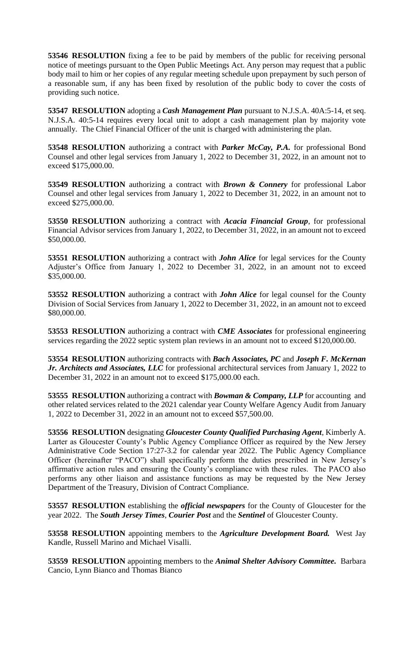**53546 RESOLUTION** fixing a fee to be paid by members of the public for receiving personal notice of meetings pursuant to the Open Public Meetings Act. Any person may request that a public body mail to him or her copies of any regular meeting schedule upon prepayment by such person of a reasonable sum, if any has been fixed by resolution of the public body to cover the costs of providing such notice.

**53547 RESOLUTION** adopting a *Cash Management Plan* pursuant to N.J.S.A. 40A:5-14, et seq. N.J.S.A. 40:5-14 requires every local unit to adopt a cash management plan by majority vote annually. The Chief Financial Officer of the unit is charged with administering the plan.

**53548 RESOLUTION** authorizing a contract with *Parker McCay, P.A.* for professional Bond Counsel and other legal services from January 1, 2022 to December 31, 2022, in an amount not to exceed \$175,000.00.

**53549 RESOLUTION** authorizing a contract with *Brown & Connery* for professional Labor Counsel and other legal services from January 1, 2022 to December 31, 2022, in an amount not to exceed \$275,000.00.

**53550 RESOLUTION** authorizing a contract with *Acacia Financial Group*, for professional Financial Advisor services from January 1, 2022, to December 31, 2022, in an amount not to exceed \$50,000.00.

**53551 RESOLUTION** authorizing a contract with *John Alice* for legal services for the County Adjuster's Office from January 1, 2022 to December 31, 2022, in an amount not to exceed \$35,000.00.

**53552 RESOLUTION** authorizing a contract with *John Alice* for legal counsel for the County Division of Social Services from January 1, 2022 to December 31, 2022, in an amount not to exceed \$80,000.00.

**53553 RESOLUTION** authorizing a contract with *CME Associates* for professional engineering services regarding the 2022 septic system plan reviews in an amount not to exceed \$120,000.00.

**53554 RESOLUTION** authorizing contracts with *Bach Associates, PC* and *Joseph F. McKernan Jr. Architects and Associates, LLC* for professional architectural services from January 1, 2022 to December 31, 2022 in an amount not to exceed \$175,000.00 each.

**53555 RESOLUTION** authorizing a contract with *Bowman & Company, LLP* for accounting and other related services related to the 2021 calendar year County Welfare Agency Audit from January 1, 2022 to December 31, 2022 in an amount not to exceed \$57,500.00.

**53556 RESOLUTION** designating *Gloucester County Qualified Purchasing Agent*, Kimberly A. Larter as Gloucester County's Public Agency Compliance Officer as required by the New Jersey Administrative Code Section 17:27-3.2 for calendar year 2022. The Public Agency Compliance Officer (hereinafter "PACO") shall specifically perform the duties prescribed in New Jersey's affirmative action rules and ensuring the County's compliance with these rules. The PACO also performs any other liaison and assistance functions as may be requested by the New Jersey Department of the Treasury, Division of Contract Compliance.

**53557 RESOLUTION** establishing the *official newspapers* for the County of Gloucester for the year 2022. The *South Jersey Times*, *Courier Post* and the *Sentinel* of Gloucester County.

**53558 RESOLUTION** appointing members to the *Agriculture Development Board.* West Jay Kandle, Russell Marino and Michael Visalli.

**53559 RESOLUTION** appointing members to the *Animal Shelter Advisory Committee.* Barbara Cancio, Lynn Bianco and Thomas Bianco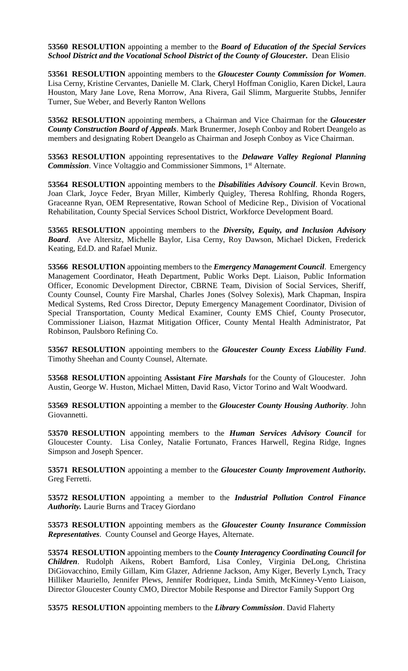**53560 RESOLUTION** appointing a member to the *Board of Education of the Special Services School District and the Vocational School District of the County of Gloucester.* Dean Elisio

**53561 RESOLUTION** appointing members to the *Gloucester County Commission for Women*. Lisa Cerny, Kristine Cervantes, Danielle M. Clark, Cheryl Hoffman Coniglio, Karen Dickel, Laura Houston, Mary Jane Love, Rena Morrow, Ana Rivera, Gail Slimm, Marguerite Stubbs, Jennifer Turner, Sue Weber, and Beverly Ranton Wellons

**53562 RESOLUTION** appointing members, a Chairman and Vice Chairman for the *Gloucester County Construction Board of Appeals*. Mark Brunermer, Joseph Conboy and Robert Deangelo as members and designating Robert Deangelo as Chairman and Joseph Conboy as Vice Chairman.

**53563 RESOLUTION** appointing representatives to the *Delaware Valley Regional Planning*  **Commission**. Vince Voltaggio and Commissioner Simmons, 1<sup>st</sup> Alternate.

**53564 RESOLUTION** appointing members to the *Disabilities Advisory Council*. Kevin Brown, Joan Clark, Joyce Feder, Bryan Miller, Kimberly Quigley, Theresa Rohlfing, Rhonda Rogers, Graceanne Ryan, OEM Representative, Rowan School of Medicine Rep., Division of Vocational Rehabilitation, County Special Services School District, Workforce Development Board.

**53565 RESOLUTION** appointing members to the *Diversity, Equity, and Inclusion Advisory Board*. Ave Altersitz, Michelle Baylor, Lisa Cerny, Roy Dawson, Michael Dicken, Frederick Keating, Ed.D. and Rafael Muniz.

**53566 RESOLUTION** appointing members to the *Emergency Management Council*. Emergency Management Coordinator, Heath Department, Public Works Dept. Liaison, Public Information Officer, Economic Development Director, CBRNE Team, Division of Social Services, Sheriff, County Counsel, County Fire Marshal, Charles Jones (Solvey Solexis), Mark Chapman, Inspira Medical Systems, Red Cross Director, Deputy Emergency Management Coordinator, Division of Special Transportation, County Medical Examiner, County EMS Chief, County Prosecutor, Commissioner Liaison, Hazmat Mitigation Officer, County Mental Health Administrator, Pat Robinson, Paulsboro Refining Co.

**53567 RESOLUTION** appointing members to the *Gloucester County Excess Liability Fund*. Timothy Sheehan and County Counsel, Alternate.

**53568 RESOLUTION** appointing **Assistant** *Fire Marshals* for the County of Gloucester. John Austin, George W. Huston, Michael Mitten, David Raso, Victor Torino and Walt Woodward.

**53569 RESOLUTION** appointing a member to the *Gloucester County Housing Authority*. John Giovannetti.

**53570 RESOLUTION** appointing members to the *Human Services Advisory Council* for Gloucester County. Lisa Conley, Natalie Fortunato, Frances Harwell, Regina Ridge, Ingnes Simpson and Joseph Spencer.

**53571 RESOLUTION** appointing a member to the *Gloucester County Improvement Authority.* Greg Ferretti.

**53572 RESOLUTION** appointing a member to the *Industrial Pollution Control Finance Authority.* Laurie Burns and Tracey Giordano

**53573 RESOLUTION** appointing members as the *Gloucester County Insurance Commission Representatives*. County Counsel and George Hayes, Alternate.

**53574 RESOLUTION** appointing members to the *County Interagency Coordinating Council for Children*. Rudolph Aikens, Robert Bamford, Lisa Conley, Virginia DeLong, Christina DiGiovacchino, Emily Gillam, Kim Glazer, Adrienne Jackson, Amy Kiger, Beverly Lynch, Tracy Hilliker Mauriello, Jennifer Plews, Jennifer Rodriquez, Linda Smith, McKinney-Vento Liaison, Director Gloucester County CMO, Director Mobile Response and Director Family Support Org

**53575 RESOLUTION** appointing members to the *Library Commission*. David Flaherty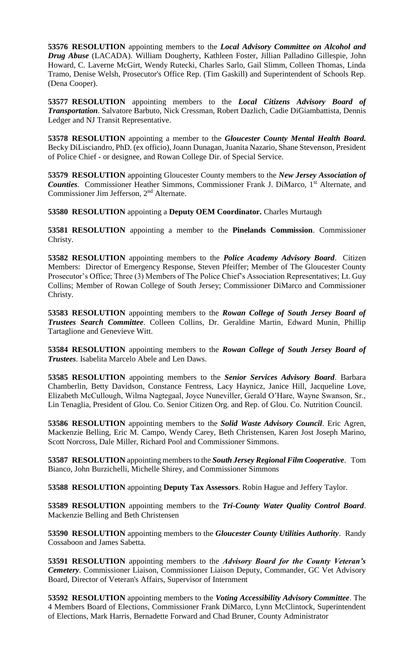**53576 RESOLUTION** appointing members to the *Local Advisory Committee on Alcohol and Drug Abuse* (LACADA). William Dougherty, Kathleen Foster, Jillian Palladino Gillespie, John Howard, C. Laverne McGirt, Wendy Rutecki, Charles Sarlo, Gail Slimm, Colleen Thomas, Linda Tramo, Denise Welsh, Prosecutor's Office Rep. (Tim Gaskill) and Superintendent of Schools Rep. (Dena Cooper).

**53577 RESOLUTION** appointing members to the *Local Citizens Advisory Board of Transportation*. Salvatore Barbuto, Nick Cressman, Robert Dazlich, Cadie DiGiambattista, Dennis Ledger and NJ Transit Representative.

**53578 RESOLUTION** appointing a member to the *Gloucester County Mental Health Board.* Becky DiLisciandro, PhD. (ex officio), Joann Dunagan, Juanita Nazario, Shane Stevenson, President of Police Chief - or designee, and Rowan College Dir. of Special Service.

**53579 RESOLUTION** appointing Gloucester County members to the *New Jersey Association of*  **Counties**. Commissioner Heather Simmons, Commissioner Frank J. DiMarco, 1<sup>st</sup> Alternate, and Commissioner Jim Jefferson, 2nd Alternate.

**53580 RESOLUTION** appointing a **Deputy OEM Coordinator.** Charles Murtaugh

**53581 RESOLUTION** appointing a member to the **Pinelands Commission**. Commissioner Christy.

**53582 RESOLUTION** appointing members to the *Police Academy Advisory Board*. Citizen Members: Director of Emergency Response, Steven Pfeiffer; Member of The Gloucester County Prosecutor's Office; Three (3) Members of The Police Chief's Association Representatives; Lt. Guy Collins; Member of Rowan College of South Jersey; Commissioner DiMarco and Commissioner Christy.

**53583 RESOLUTION** appointing members to the *Rowan College of South Jersey Board of Trustees Search Committee*. Colleen Collins, Dr. Geraldine Martin, Edward Munin, Phillip Tartaglione and Genevieve Witt.

**53584 RESOLUTION** appointing members to the *Rowan College of South Jersey Board of Trustees*. Isabelita Marcelo Abele and Len Daws.

**53585 RESOLUTION** appointing members to the *Senior Services Advisory Board*. Barbara Chamberlin, Betty Davidson, Constance Fentress, Lacy Haynicz, Janice Hill, Jacqueline Love, Elizabeth McCullough, Wilma Nagtegaal, Joyce Nuneviller, Gerald O'Hare, Wayne Swanson, Sr., Lin Tenaglia, President of Glou. Co. Senior Citizen Org. and Rep. of Glou. Co. Nutrition Council.

**53586 RESOLUTION** appointing members to the *Solid Waste Advisory Council*. Eric Agren, Mackenzie Belling, Eric M. Campo, Wendy Carey, Beth Christensen, Karen Jost Joseph Marino, Scott Norcross, Dale Miller, Richard Pool and Commissioner Simmons.

**53587 RESOLUTION** appointing members to the *South Jersey Regional Film Cooperative*. Tom Bianco, John Burzichelli, Michelle Shirey, and Commissioner Simmons

**53588 RESOLUTION** appointing **Deputy Tax Assessors**. Robin Hague and Jeffery Taylor.

**53589 RESOLUTION** appointing members to the *Tri-County Water Quality Control Board*. Mackenzie Belling and Beth Christensen

**53590 RESOLUTION** appointing members to the *Gloucester County Utilities Authority*. Randy Cossaboon and James Sabetta.

**53591 RESOLUTION** appointing members to the *Advisory Board for the County Veteran's Cemetery*. Commissioner Liaison, Commissioner Liaison Deputy, Commander, GC Vet Advisory Board, Director of Veteran's Affairs, Supervisor of Internment

**53592 RESOLUTION** appointing members to the *Voting Accessibility Advisory Committee*. The 4 Members Board of Elections, Commissioner Frank DiMarco, Lynn McClintock, Superintendent of Elections, Mark Harris, Bernadette Forward and Chad Bruner, County Administrator